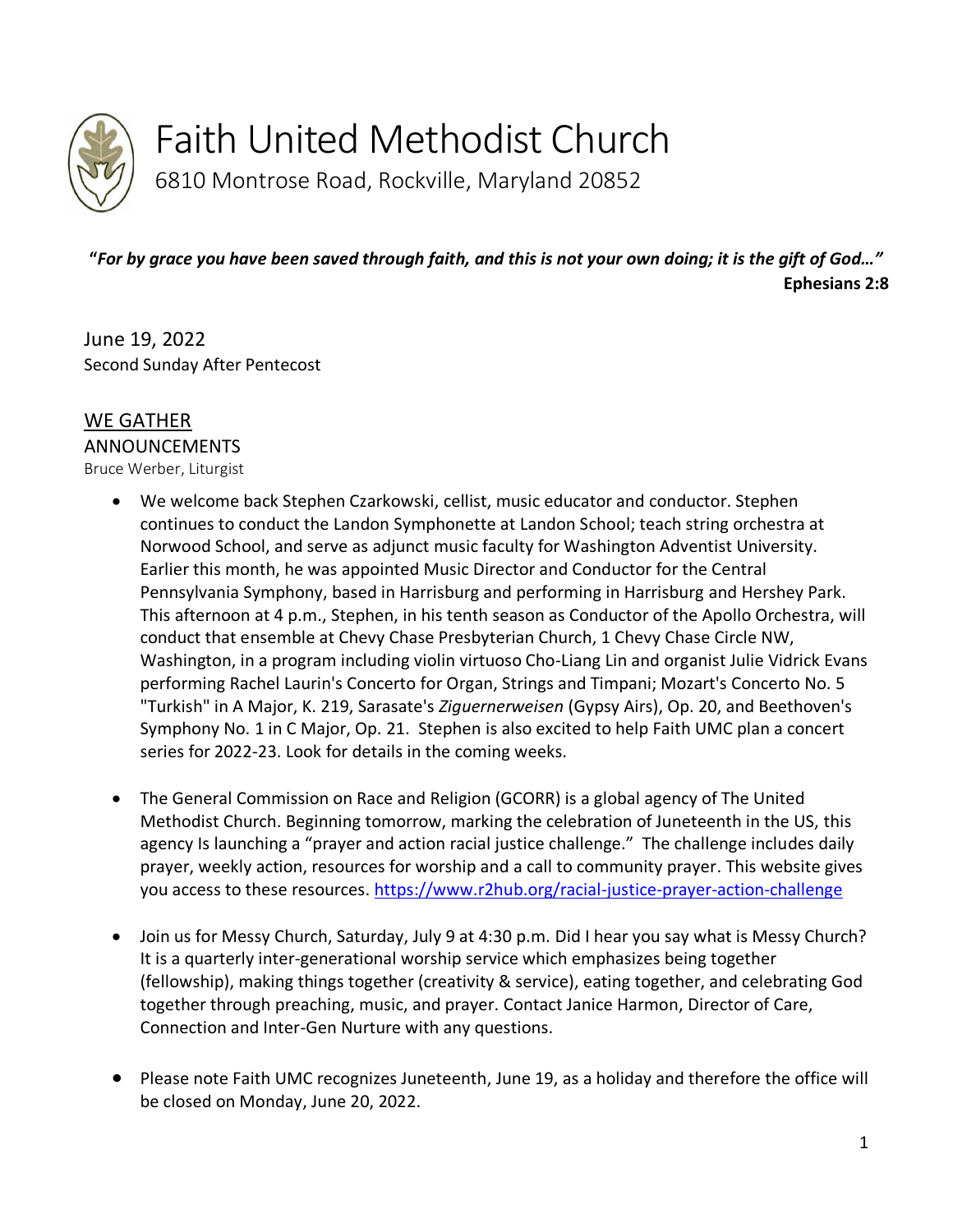

Faith United Methodist Church

6810 Montrose Road, Rockville, Maryland 20852

**"***For by grace you have been saved through faith, and this is not your own doing; it is the gift of God…"* **Ephesians 2:8**

June 19, 2022 Second Sunday After Pentecost

# WE GATHER

ANNOUNCEMENTS

Bruce Werber, Liturgist

- We welcome back Stephen Czarkowski, cellist, music educator and conductor. Stephen continues to conduct the Landon Symphonette at Landon School; teach string orchestra at Norwood School, and serve as adjunct music faculty for Washington Adventist University. Earlier this month, he was appointed Music Director and Conductor for the Central Pennsylvania Symphony, based in Harrisburg and performing in Harrisburg and Hershey Park. This afternoon at 4 p.m., Stephen, in his tenth season as Conductor of the Apollo Orchestra, will conduct that ensemble at Chevy Chase Presbyterian Church, 1 Chevy Chase Circle NW, Washington, in a program including violin virtuoso Cho-Liang Lin and organist Julie Vidrick Evans performing Rachel Laurin's Concerto for Organ, Strings and Timpani; Mozart's Concerto No. 5 "Turkish" in A Major, K. 219, Sarasate's *Ziguernerweisen* (Gypsy Airs), Op. 20, and Beethoven's Symphony No. 1 in C Major, Op. 21. Stephen is also excited to help Faith UMC plan a concert series for 2022-23. Look for details in the coming weeks.
- The General Commission on Race and Religion (GCORR) is a global agency of The United Methodist Church. Beginning tomorrow, marking the celebration of Juneteenth in the US, this agency Is launching a "prayer and action racial justice challenge." The challenge includes daily prayer, weekly action, resources for worship and a call to community prayer. This website gives you access to these resources. <https://www.r2hub.org/racial-justice-prayer-action-challenge>
- Join us for Messy Church, Saturday, July 9 at 4:30 p.m. Did I hear you say what is Messy Church? It is a quarterly inter-generational worship service which emphasizes being together (fellowship), making things together (creativity & service), eating together, and celebrating God together through preaching, music, and prayer. Contact Janice Harmon, Director of Care, Connection and Inter-Gen Nurture with any questions.
- Please note Faith UMC recognizes Juneteenth, June 19, as a holiday and therefore the office will be closed on Monday, June 20, 2022.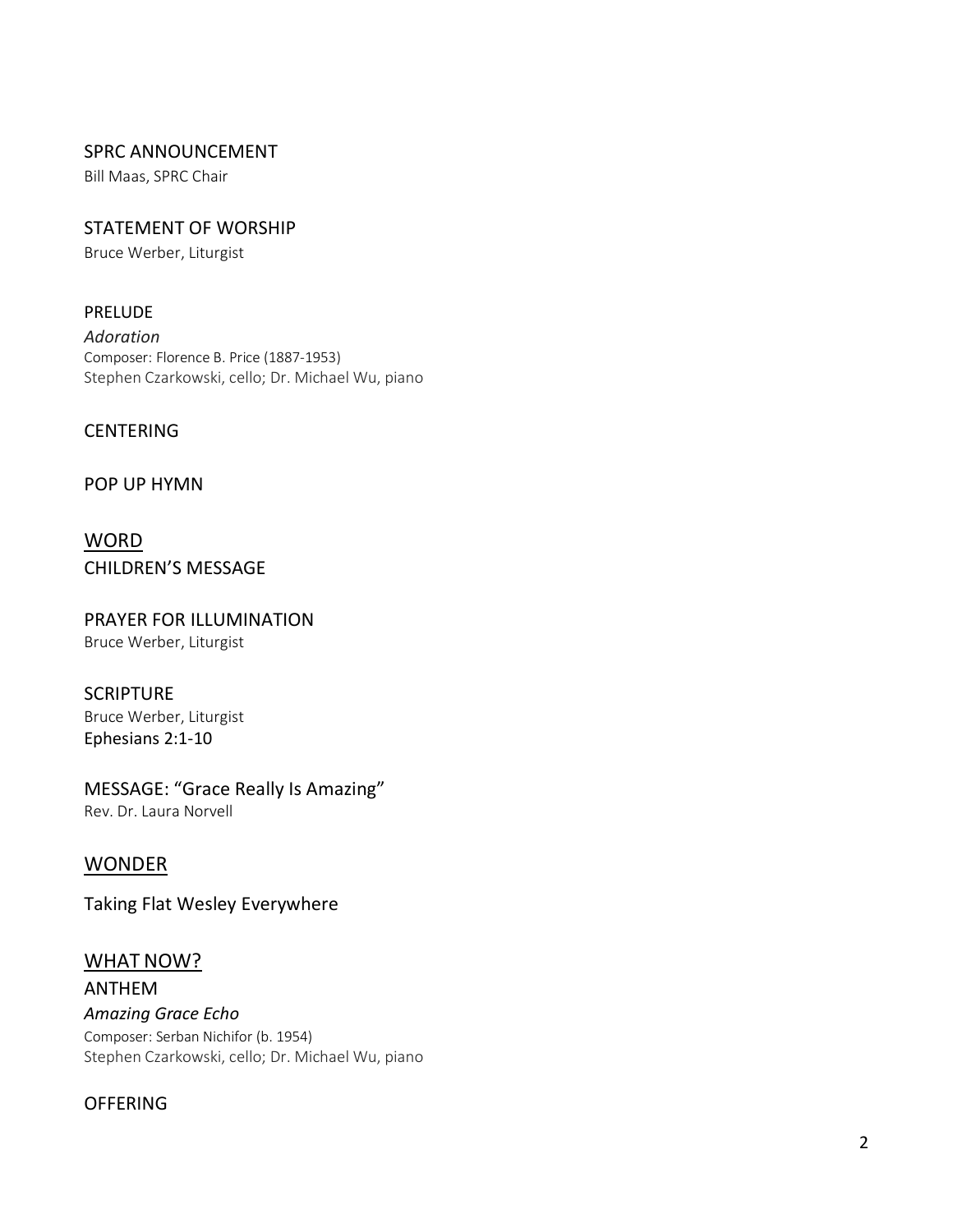#### SPRC ANNOUNCEMENT

Bill Maas, SPRC Chair

# STATEMENT OF WORSHIP

Bruce Werber, Liturgist

#### PRELUDE

*Adoration* Composer: Florence B. Price (1887-1953) Stephen Czarkowski, cello; Dr. Michael Wu, piano

#### **CENTERING**

#### POP UP HYMN

**WORD** CHILDREN'S MESSAGE

#### PRAYER FOR ILLUMINATION Bruce Werber, Liturgist

# **SCRIPTURE**

Bruce Werber, Liturgist Ephesians 2:1-10

#### MESSAGE: "Grace Really Is Amazing" Rev. Dr. Laura Norvell

#### WONDER

Taking Flat Wesley Everywhere

# WHAT NOW?

ANTHEM *Amazing Grace Echo* Composer: Serban Nichifor (b. 1954) Stephen Czarkowski, cello; Dr. Michael Wu, piano

#### **OFFERING**